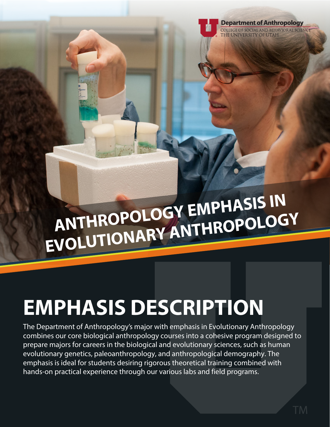

# **ANTHROPOLOGY EMPHASIS IN EVOLUTIONARY ANTHROPOLOGY**

# **EMPHASIS DESCRIPTION**

The Department of Anthropology's major with emphasis in Evolutionary Anthropology combines our core biological anthropology courses into a cohesive program designed to prepare majors for careers in the biological and evolutionary sciences, such as human evolutionary genetics, paleoanthropology, and anthropological demography. The emphasis is ideal for students desiring rigorous theoretical training combined with hands-on practical experience through our various labs and field programs.